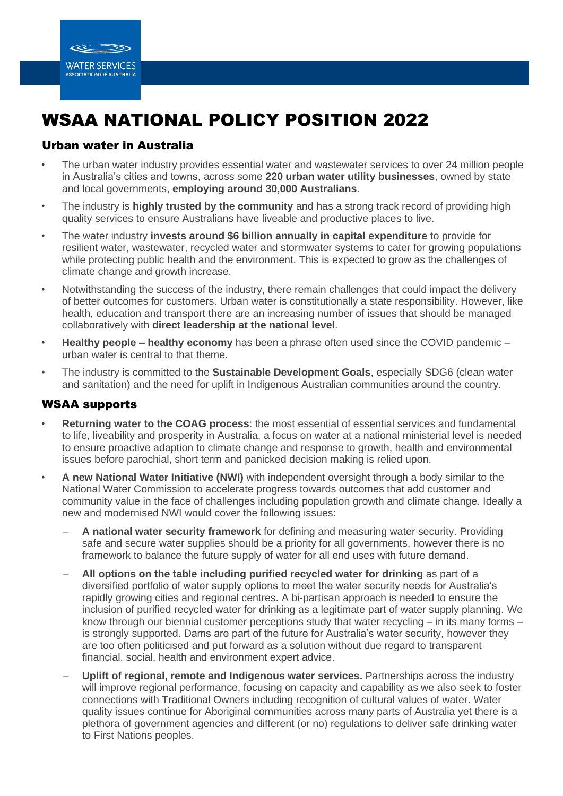

# WSAA NATIONAL POLICY POSITION 2022

## Urban water in Australia

- The urban water industry provides essential water and wastewater services to over 24 million people in Australia's cities and towns, across some **220 urban water utility businesses**, owned by state and local governments, **employing around 30,000 Australians**.
- The industry is **highly trusted by the community** and has a strong track record of providing high quality services to ensure Australians have liveable and productive places to live.
- The water industry **invests around \$6 billion annually in capital expenditure** to provide for resilient water, wastewater, recycled water and stormwater systems to cater for growing populations while protecting public health and the environment. This is expected to grow as the challenges of climate change and growth increase.
- Notwithstanding the success of the industry, there remain challenges that could impact the delivery of better outcomes for customers. Urban water is constitutionally a state responsibility. However, like health, education and transport there are an increasing number of issues that should be managed collaboratively with **direct leadership at the national level**.
- **Healthy people – healthy economy** has been a phrase often used since the COVID pandemic urban water is central to that theme.
- The industry is committed to the **Sustainable Development Goals**, especially SDG6 (clean water and sanitation) and the need for uplift in Indigenous Australian communities around the country.

## WSAA supports

- **Returning water to the COAG process**: the most essential of essential services and fundamental to life, liveability and prosperity in Australia, a focus on water at a national ministerial level is needed to ensure proactive adaption to climate change and response to growth, health and environmental issues before parochial, short term and panicked decision making is relied upon.
- **A new National Water Initiative (NWI)** with independent oversight through a body similar to the National Water Commission to accelerate progress towards outcomes that add customer and community value in the face of challenges including population growth and climate change. Ideally a new and modernised NWI would cover the following issues:
	- − **A national water security framework** for defining and measuring water security. Providing safe and secure water supplies should be a priority for all governments, however there is no framework to balance the future supply of water for all end uses with future demand.
	- − **All options on the table including purified recycled water for drinking** as part of a diversified portfolio of water supply options to meet the water security needs for Australia's rapidly growing cities and regional centres. A bi-partisan approach is needed to ensure the inclusion of purified recycled water for drinking as a legitimate part of water supply planning. We know through our biennial customer perceptions study that water recycling – in its many forms – is strongly supported. Dams are part of the future for Australia's water security, however they are too often politicised and put forward as a solution without due regard to transparent financial, social, health and environment expert advice.
	- **Uplift of regional, remote and Indigenous water services.** Partnerships across the industry will improve regional performance, focusing on capacity and capability as we also seek to foster connections with Traditional Owners including recognition of cultural values of water. Water quality issues continue for Aboriginal communities across many parts of Australia yet there is a plethora of government agencies and different (or no) regulations to deliver safe drinking water to First Nations peoples.